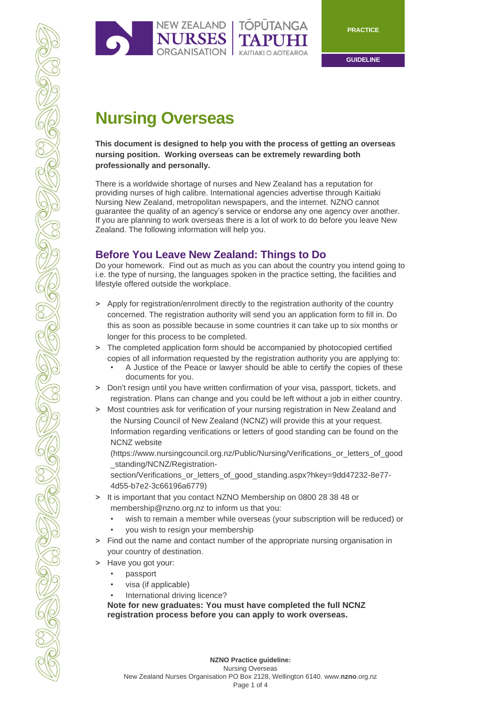

# **Nursing Overseas**

**NEW ZEALAND** 

**This document is designed to help you with the process of getting an overseas nursing position. Working overseas can be extremely rewarding both professionally and personally.**

**TOPUTANGA** 

KAITIAKI O AOTEAROA

There is a worldwide shortage of nurses and New Zealand has a reputation for providing nurses of high calibre. International agencies advertise through Kaitiaki Nursing New Zealand, metropolitan newspapers, and the internet. NZNO cannot guarantee the quality of an agency's service or endorse any one agency over another. If you are planning to work overseas there is a lot of work to do before you leave New Zealand. The following information will help you.

## **Before You Leave New Zealand: Things to Do**

Do your homework. Find out as much as you can about the country you intend going to i.e. the type of nursing, the languages spoken in the practice setting, the facilities and lifestyle offered outside the workplace.

- > Apply for registration/enrolment directly to the registration authority of the country concerned. The registration authority will send you an application form to fill in. Do this as soon as possible because in some countries it can take up to six months or longer for this process to be completed.
- > The completed application form should be accompanied by photocopied certified copies of all information requested by the registration authority you are applying to:
	- A Justice of the Peace or lawyer should be able to certify the copies of these documents for you.
- > Don't resign until you have written confirmation of your visa, passport, tickets, and registration. Plans can change and you could be left without a job in either country.
- > Most countries ask for verification of your nursing registration in New Zealand and the Nursing Council of New Zealand (NCNZ) will provide this at your request. Information regarding verifications or letters of good standing can be found on the NCNZ website

[\(https://www.nursingcouncil.org.nz/Public/Nursing/Verifications\\_or\\_letters\\_of\\_good](https://www.nursingcouncil.org.nz/Public/Nursing/Verifications_or_letters_of_good_standing/NCNZ/Registration-section/Verifications_or_letters_of_good_standing.aspx?hkey=9dd47232-8e77-4d55-b7e2-3c66196a6779) [\\_standing/NCNZ/Registration-](https://www.nursingcouncil.org.nz/Public/Nursing/Verifications_or_letters_of_good_standing/NCNZ/Registration-section/Verifications_or_letters_of_good_standing.aspx?hkey=9dd47232-8e77-4d55-b7e2-3c66196a6779)

[section/Verifications\\_or\\_letters\\_of\\_good\\_standing.aspx?hkey=9dd47232-8e77-](https://www.nursingcouncil.org.nz/Public/Nursing/Verifications_or_letters_of_good_standing/NCNZ/Registration-section/Verifications_or_letters_of_good_standing.aspx?hkey=9dd47232-8e77-4d55-b7e2-3c66196a6779) [4d55-b7e2-3c66196a6779\)](https://www.nursingcouncil.org.nz/Public/Nursing/Verifications_or_letters_of_good_standing/NCNZ/Registration-section/Verifications_or_letters_of_good_standing.aspx?hkey=9dd47232-8e77-4d55-b7e2-3c66196a6779)

- > It is important that you contact NZNO Membership on 0800 28 38 48 or [membership@nzno.org.nz](mailto:membership@nzno.org.nz) to inform us that you:
	- wish to remain a member while overseas (your subscription will be reduced) or you wish to resign your membership
- > Find out the name and contact number of the appropriate nursing organisation in your country of destination.
- > Have you got your:
	- passport
	- visa (if applicable)
	- International driving licence?

**Note for new graduates: You must have completed the full NCNZ registration process before you can apply to work overseas.**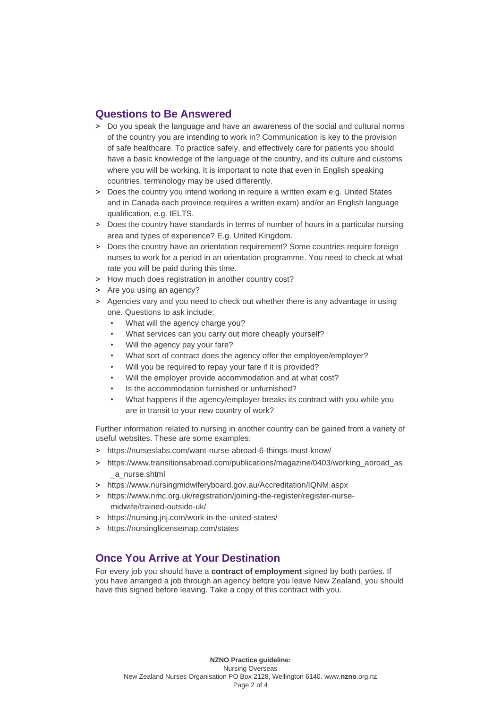## **Questions to Be Answered**

- > Do you speak the language and have an awareness of the social and cultural norms of the country you are intending to work in? Communication is key to the provision of safe healthcare. To practice safely, and effectively care for patients you should have a basic knowledge of the language of the country, and its culture and customs where you will be working. It is important to note that even in English speaking countries, terminology may be used differently.
- > Does the country you intend working in require a written exam e.g. United States and in Canada each province requires a written exam) and/or an English language qualification, e.g. IELTS.
- > Does the country have standards in terms of number of hours in a particular nursing area and types of experience? E.g. United Kingdom.
- > Does the country have an orientation requirement? Some countries require foreign nurses to work for a period in an orientation programme. You need to check at what rate you will be paid during this time.
- > How much does registration in another country cost?
- > Are you using an agency?
- > Agencies vary and you need to check out whether there is any advantage in using one. Questions to ask include:
	- What will the agency charge you?
	- What services can you carry out more cheaply yourself?
	- Will the agency pay your fare?
	- What sort of contract does the agency offer the employee/employer?
	- Will you be required to repay your fare if it is provided?
	- Will the employer provide accommodation and at what cost?
	- Is the accommodation furnished or unfurnished?
	- What happens if the agency/employer breaks its contract with you while you are in transit to your new country of work?

Further information related to nursing in another country can be gained from a variety of useful websites. These are some examples:

- > https://nurseslabs.com/want-nurse-abroad-6-things-must-know/
- > [https://www.transitionsabroad.com/publications/magazine/0403/working\\_abroad\\_as](https://www.transitionsabroad.com/publications/magazine/0403/working_abroad_as_a_nurse.shtml) [\\_a\\_nurse.shtml](https://www.transitionsabroad.com/publications/magazine/0403/working_abroad_as_a_nurse.shtml)
- > <https://www.nursingmidwiferyboard.gov.au/Accreditation/IQNM.aspx>
- > [https://www.nmc.org.uk/registration/joining-the-register/register-nurse](https://www.nmc.org.uk/registration/joining-the-register/register-nurse-midwife/trained-outside-uk/)[midwife/trained-outside-uk/](https://www.nmc.org.uk/registration/joining-the-register/register-nurse-midwife/trained-outside-uk/)
- > <https://nursing.jnj.com/work-in-the-united-states/>
- > <https://nursinglicensemap.com/states>

## **Once You Arrive at Your Destination**

For every job you should have a **contract of employment** signed by both parties. If you have arranged a job through an agency before you leave New Zealand, you should have this signed before leaving. Take a copy of this contract with you.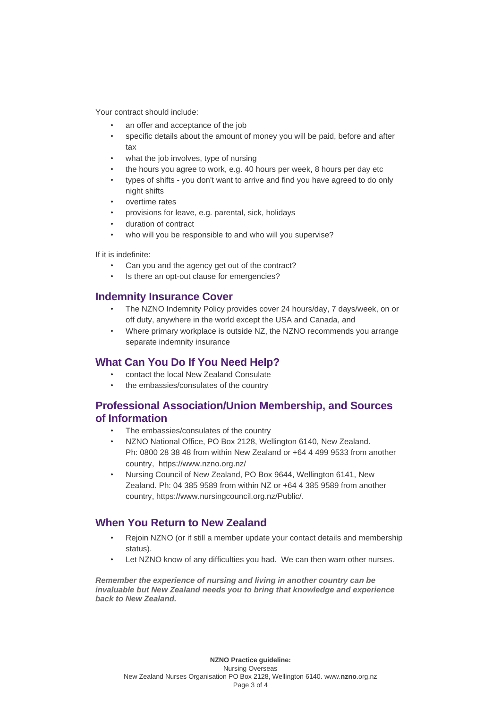Your contract should include:

- an offer and acceptance of the job
- specific details about the amount of money you will be paid, before and after tax
- what the job involves, type of nursing
- the hours you agree to work, e.g. 40 hours per week, 8 hours per day etc
- types of shifts you don't want to arrive and find you have agreed to do only night shifts
- overtime rates
- provisions for leave, e.g. parental, sick, holidays
- duration of contract
- who will you be responsible to and who will you supervise?

If it is indefinite:

- Can you and the agency get out of the contract?
- Is there an opt-out clause for emergencies?

#### **Indemnity Insurance Cover**

- The NZNO Indemnity Policy provides cover 24 hours/day, 7 days/week, on or off duty, anywhere in the world except the USA and Canada, and
- Where primary workplace is outside NZ, the NZNO recommends you arrange separate indemnity insurance

### **What Can You Do If You Need Help?**

- contact the local New Zealand Consulate
- the embassies/consulates of the country

## **Professional Association/Union Membership, and Sources of Information**

- The embassies/consulates of the country
- NZNO National Office, PO Box 2128, Wellington 6140, New Zealand. Ph: 0800 28 38 48 from within New Zealand or +64 4 499 9533 from another country, <https://www.nzno.org.nz/>
- Nursing Council of New Zealand, PO Box 9644, Wellington 6141, New Zealand. Ph: 04 385 9589 from within NZ or +64 4 385 9589 from another country, [https://www.nursingcouncil.org.nz/Public/.](https://www.nursingcouncil.org.nz/Public/)

### **When You Return to New Zealand**

- Rejoin NZNO (or if still a member update your contact details and membership status).
- Let NZNO know of any difficulties you had. We can then warn other nurses.

*Remember the experience of nursing and living in another country can be invaluable but New Zealand needs you to bring that knowledge and experience back to New Zealand.*